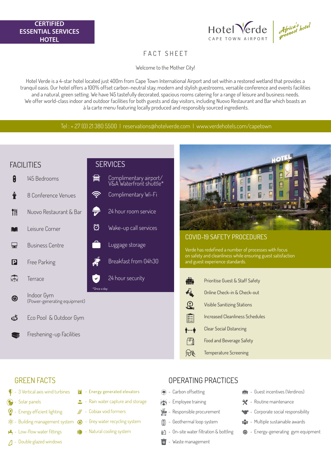

### FACT SHFFT

Welcome to the Mother City!

Hotel Verde is a 4-star hotel located just 400m from Cape Town International Airport and set within a restored wetland that provides a tranquil oasis. Our hotel offers a 100% offset carbon-neutral stay, modern and stylish guestrooms, versatile conference and events facilities and a natural, green setting. We have 145 tastefully decorated, spacious rooms catering for a range of leisure and business needs. We offer world-class indoor and outdoor facilities for both guests and day visitors, including Nuovo Restaurant and Bar which boasts an à la carte menu featuring locally produced and responsibly sourced ingredients.

Tel : + 27 (0) 21 380 5500 | reservations@hotelverde.com | www.verdehotels.com/capetown

### FACILITIES

- Ĥ 145 Bedrooms 흠 8 Conference Venues Nuovo Restaurant & Bar **TH** Leisure Corner N6 Business Centre ⋤ P Free Parking IT. Terrace Indoor Gym  $\bf \Phi$ (Power-generating equipment)
- ເ∌ົ Eco Pool & Outdoor Gym

Freshening-up Facilities

#### **SERVICES**



Fil - Energy generated elevators  $\pm$  - Rain water capture and storage

 $\mathcal{B}$  - Cobiax void formers

**彩** - Natural cooling system



#### COVID-19 SAFETY PROCEDURES

Verde has redefined a number of processes with focus on safety and cleanliness while ensuring guest satisfaction and guest experience standards.



स्रिक् Temperature Screening

## GREEN FACTS

- $$Q$  3 Vertical axis wind tvrbines$
- **B** Solar panels
- Energy efficient lighting
- Building management system  $\bigcirc$  Grey water recycling system
- $\blacktriangleright$  Low-flow water fittings
- 1 Double glazed windows

## OPERATING PRACTICES

- (※) Carbon offsetting
- **j藝** Employee training
- $\mathbb{E}_{\mathbb{P}}$  Responsible procurement
- $(\mathbb{M})$ - Geothermal loop system
- On-site water filtration & bottling
- **林** Guest incentives (Verdinos)
- $\blacktriangleright$  Routine maintenance
- **W** Corporate social responsibility
- 8% Multiple sustainable awards
- $\circled{+}$  Energy-generating gym equipment
- $\overline{\bullet}$  Waste management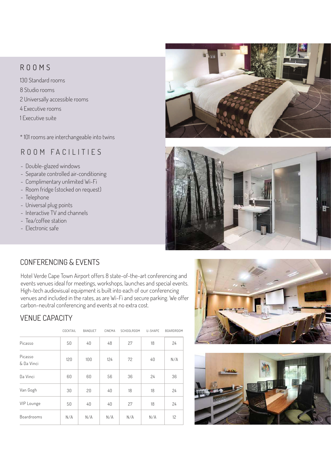#### ROOMS

130 Standard rooms 8 Studio rooms 2 Universally accessible rooms 4 Executive rooms 1 Executive suite

\* 101 rooms are interchangeable into twins

## ROOM FACILITIES

- Double-glazed windows
- Separate controlled air-conditioning
- Complimentary unlimited Wi-Fi
- Room fridge (stocked on request)
- Telephone
- Universal plug points
- Interactive TV and channels
- Tea/coffee station
- Electronic safe





#### CONFERENCING & EVENTS

Hotel Verde Cape Town Airport offers 8 state-of-the-art conferencing and events venues ideal for meetings, workshops, launches and special events. High-tech audiovisual equipment is built into each of our conferencing venues and included in the rates, as are Wi-Fi and secure parking. We offer carbon-neutral conferencing and events at no extra cost.

## VENUE CAPACITY

|                       | COCKTAIL | BANQUET | CINEMA | SCHOOLROOM | U-SHAPE | BOARDROOM |
|-----------------------|----------|---------|--------|------------|---------|-----------|
| Picasso               | 50       | 40      | 48     | 27         | 18      | 24        |
| Picasso<br>& Da Vinci | 120      | 100     | 124    | 72         | 40      | N/A       |
| Da Vinci              | 60       | 60      | 56     | 36         | 24      | 36        |
| Van Gogh              | 30       | 20      | 40     | 18         | 18      | 24        |
| VIP Lounge            | 50       | 40      | 40     | 27         | 18      | 24        |
| <b>Boardrooms</b>     | N/A      | N/A     | N/A    | N/A        | N/A     | 12        |